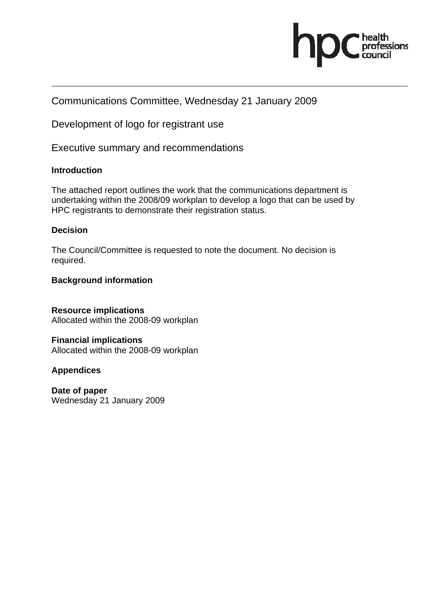

### Communications Committee, Wednesday 21 January 2009

Development of logo for registrant use

Executive summary and recommendations

### **Introduction**

The attached report outlines the work that the communications department is undertaking within the 2008/09 workplan to develop a logo that can be used by HPC registrants to demonstrate their registration status.

### **Decision**

The Council/Committee is requested to note the document. No decision is required.

### **Background information**

**Resource implications**  Allocated within the 2008-09 workplan

**Financial implications**  Allocated within the 2008-09 workplan

### **Appendices**

**Date of paper**  Wednesday 21 January 2009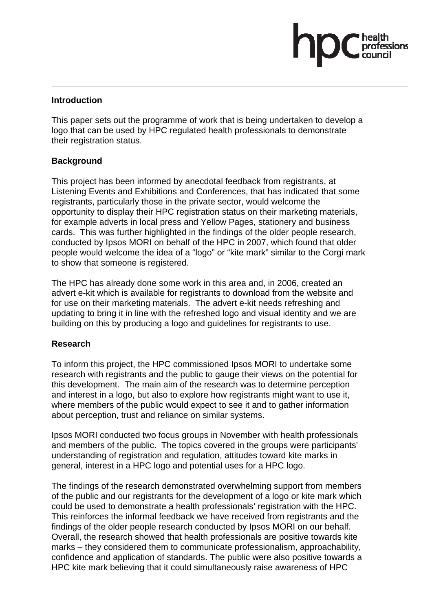### **Introduction**

This paper sets out the programme of work that is being undertaken to develop a logo that can be used by HPC regulated health professionals to demonstrate their registration status.

pasions

### **Background**

This project has been informed by anecdotal feedback from registrants, at Listening Events and Exhibitions and Conferences, that has indicated that some registrants, particularly those in the private sector, would welcome the opportunity to display their HPC registration status on their marketing materials, for example adverts in local press and Yellow Pages, stationery and business cards. This was further highlighted in the findings of the older people research, conducted by Ipsos MORI on behalf of the HPC in 2007, which found that older people would welcome the idea of a "logo" or "kite mark" similar to the Corgi mark to show that someone is registered.

The HPC has already done some work in this area and, in 2006, created an advert e-kit which is available for registrants to download from the website and for use on their marketing materials. The advert e-kit needs refreshing and updating to bring it in line with the refreshed logo and visual identity and we are building on this by producing a logo and guidelines for registrants to use.

### **Research**

To inform this project, the HPC commissioned Ipsos MORI to undertake some research with registrants and the public to gauge their views on the potential for this development. The main aim of the research was to determine perception and interest in a logo, but also to explore how registrants might want to use it, where members of the public would expect to see it and to gather information about perception, trust and reliance on similar systems.

Ipsos MORI conducted two focus groups in November with health professionals and members of the public. The topics covered in the groups were participants' understanding of registration and regulation, attitudes toward kite marks in general, interest in a HPC logo and potential uses for a HPC logo.

The findings of the research demonstrated overwhelming support from members of the public and our registrants for the development of a logo or kite mark which could be used to demonstrate a health professionals' registration with the HPC. This reinforces the informal feedback we have received from registrants and the findings of the older people research conducted by Ipsos MORI on our behalf. Overall, the research showed that health professionals are positive towards kite marks – they considered them to communicate professionalism, approachability, confidence and application of standards. The public were also positive towards a HPC kite mark believing that it could simultaneously raise awareness of HPC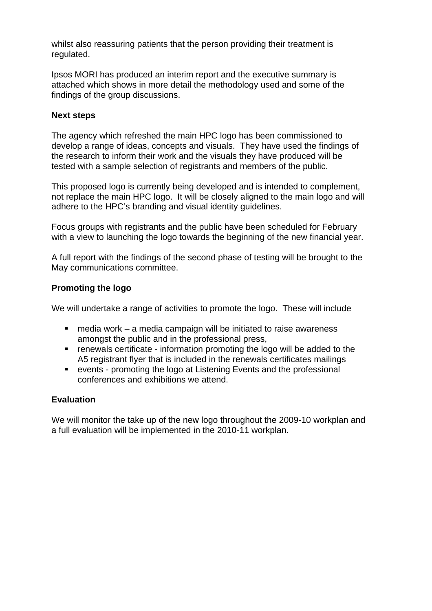whilst also reassuring patients that the person providing their treatment is regulated.

Ipsos MORI has produced an interim report and the executive summary is attached which shows in more detail the methodology used and some of the findings of the group discussions.

### **Next steps**

The agency which refreshed the main HPC logo has been commissioned to develop a range of ideas, concepts and visuals. They have used the findings of the research to inform their work and the visuals they have produced will be tested with a sample selection of registrants and members of the public.

This proposed logo is currently being developed and is intended to complement, not replace the main HPC logo. It will be closely aligned to the main logo and will adhere to the HPC's branding and visual identity guidelines.

Focus groups with registrants and the public have been scheduled for February with a view to launching the logo towards the beginning of the new financial year.

A full report with the findings of the second phase of testing will be brought to the May communications committee.

### **Promoting the logo**

We will undertake a range of activities to promote the logo. These will include

- $\blacksquare$  media work a media campaign will be initiated to raise awareness amongst the public and in the professional press,
- renewals certificate information promoting the logo will be added to the A5 registrant flyer that is included in the renewals certificates mailings
- events promoting the logo at Listening Events and the professional conferences and exhibitions we attend.

### **Evaluation**

We will monitor the take up of the new logo throughout the 2009-10 workplan and a full evaluation will be implemented in the 2010-11 workplan.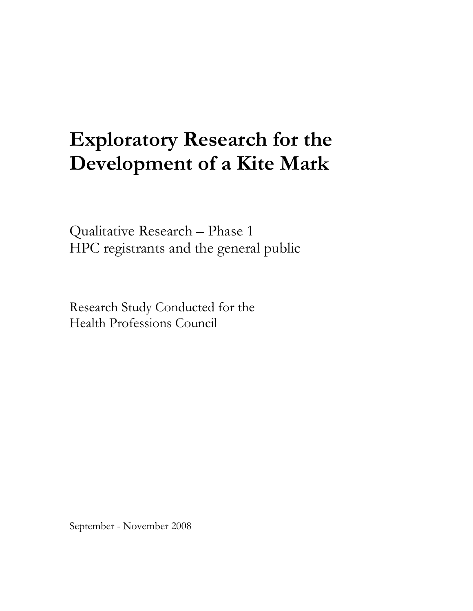# **Exploratory Research for the Development of a Kite Mark**

Qualitative Research – Phase 1 HPC registrants and the general public

Research Study Conducted for the Health Professions Council

September - November 2008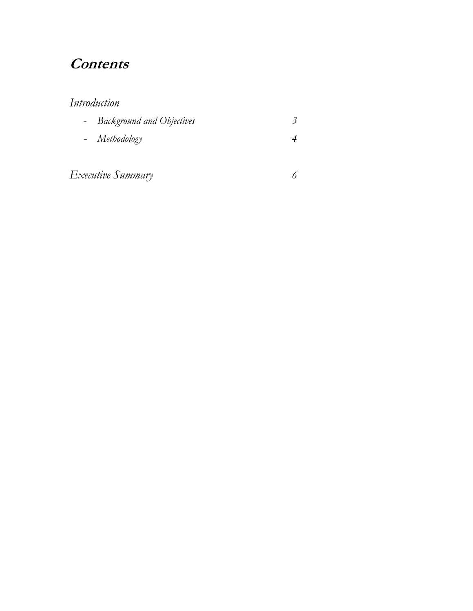# **Contents**

### *Introduction*

| - Background and Objectives |  |
|-----------------------------|--|
| - Methodology               |  |
|                             |  |

*Executive Summary 6*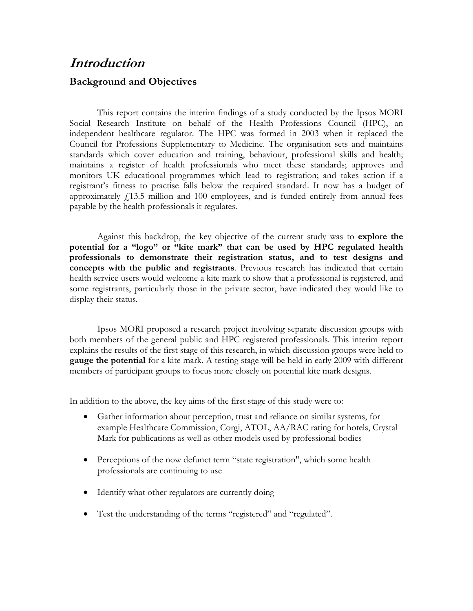# **Introduction Background and Objectives**

This report contains the interim findings of a study conducted by the Ipsos MORI Social Research Institute on behalf of the Health Professions Council (HPC), an independent healthcare regulator. The HPC was formed in 2003 when it replaced the Council for Professions Supplementary to Medicine. The organisation sets and maintains standards which cover education and training, behaviour, professional skills and health; maintains a register of health professionals who meet these standards; approves and monitors UK educational programmes which lead to registration; and takes action if a registrant's fitness to practise falls below the required standard. It now has a budget of approximately  $f(13.5)$  million and 100 employees, and is funded entirely from annual fees payable by the health professionals it regulates.

Against this backdrop, the key objective of the current study was to **explore the potential for a "logo" or "kite mark" that can be used by HPC regulated health professionals to demonstrate their registration status, and to test designs and concepts with the public and registrants**. Previous research has indicated that certain health service users would welcome a kite mark to show that a professional is registered, and some registrants, particularly those in the private sector, have indicated they would like to display their status.

Ipsos MORI proposed a research project involving separate discussion groups with both members of the general public and HPC registered professionals. This interim report explains the results of the first stage of this research, in which discussion groups were held to **gauge the potential** for a kite mark. A testing stage will be held in early 2009 with different members of participant groups to focus more closely on potential kite mark designs.

In addition to the above, the key aims of the first stage of this study were to:

- Gather information about perception, trust and reliance on similar systems, for example Healthcare Commission, Corgi, ATOL, AA/RAC rating for hotels, Crystal Mark for publications as well as other models used by professional bodies
- Perceptions of the now defunct term "state registration", which some health professionals are continuing to use
- Identify what other regulators are currently doing
- Test the understanding of the terms "registered" and "regulated".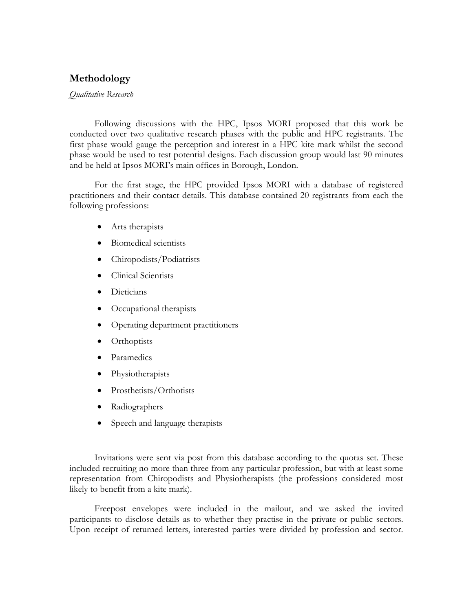### **Methodology**

#### *Qualitative Research*

Following discussions with the HPC, Ipsos MORI proposed that this work be conducted over two qualitative research phases with the public and HPC registrants. The first phase would gauge the perception and interest in a HPC kite mark whilst the second phase would be used to test potential designs. Each discussion group would last 90 minutes and be held at Ipsos MORI's main offices in Borough, London.

 For the first stage, the HPC provided Ipsos MORI with a database of registered practitioners and their contact details. This database contained 20 registrants from each the following professions:

- Arts therapists
- Biomedical scientists
- Chiropodists/Podiatrists
- Clinical Scientists
- Dieticians
- Occupational therapists
- Operating department practitioners
- Orthoptists
- Paramedics
- Physiotherapists
- Prosthetists/Orthotists
- Radiographers
- Speech and language therapists

 Invitations were sent via post from this database according to the quotas set. These included recruiting no more than three from any particular profession, but with at least some representation from Chiropodists and Physiotherapists (the professions considered most likely to benefit from a kite mark).

 Freepost envelopes were included in the mailout, and we asked the invited participants to disclose details as to whether they practise in the private or public sectors. Upon receipt of returned letters, interested parties were divided by profession and sector.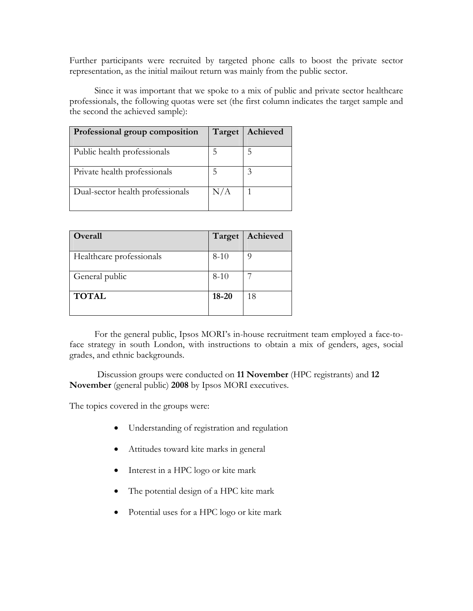Further participants were recruited by targeted phone calls to boost the private sector representation, as the initial mailout return was mainly from the public sector.

 Since it was important that we spoke to a mix of public and private sector healthcare professionals, the following quotas were set (the first column indicates the target sample and the second the achieved sample):

| Professional group composition   | Target | Achieved |
|----------------------------------|--------|----------|
| Public health professionals      |        |          |
| Private health professionals     |        |          |
| Dual-sector health professionals | N/A    |          |

| Overall                  | Target    | Achieved |
|--------------------------|-----------|----------|
| Healthcare professionals | $8-10$    |          |
| General public           | $8 - 10$  |          |
| <b>TOTAL</b>             | $18 - 20$ | 18       |

 For the general public, Ipsos MORI's in-house recruitment team employed a face-toface strategy in south London, with instructions to obtain a mix of genders, ages, social grades, and ethnic backgrounds.

Discussion groups were conducted on **11 November** (HPC registrants) and **12 November** (general public) **2008** by Ipsos MORI executives.

The topics covered in the groups were:

- Understanding of registration and regulation
- Attitudes toward kite marks in general
- Interest in a HPC logo or kite mark
- The potential design of a HPC kite mark
- Potential uses for a HPC logo or kite mark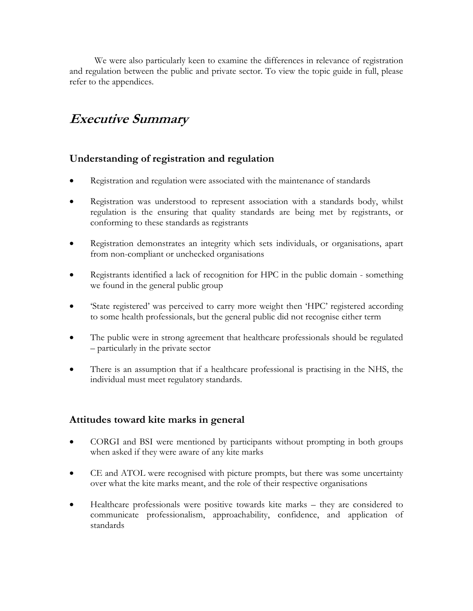We were also particularly keen to examine the differences in relevance of registration and regulation between the public and private sector. To view the topic guide in full, please refer to the appendices.

# **Executive Summary**

### **Understanding of registration and regulation**

- Registration and regulation were associated with the maintenance of standards
- Registration was understood to represent association with a standards body, whilst regulation is the ensuring that quality standards are being met by registrants, or conforming to these standards as registrants
- Registration demonstrates an integrity which sets individuals, or organisations, apart from non-compliant or unchecked organisations
- Registrants identified a lack of recognition for HPC in the public domain something we found in the general public group
- 'State registered' was perceived to carry more weight then 'HPC' registered according to some health professionals, but the general public did not recognise either term
- The public were in strong agreement that healthcare professionals should be regulated – particularly in the private sector
- There is an assumption that if a healthcare professional is practising in the NHS, the individual must meet regulatory standards.

### **Attitudes toward kite marks in general**

- CORGI and BSI were mentioned by participants without prompting in both groups when asked if they were aware of any kite marks
- CE and ATOL were recognised with picture prompts, but there was some uncertainty over what the kite marks meant, and the role of their respective organisations
- Healthcare professionals were positive towards kite marks they are considered to communicate professionalism, approachability, confidence, and application of standards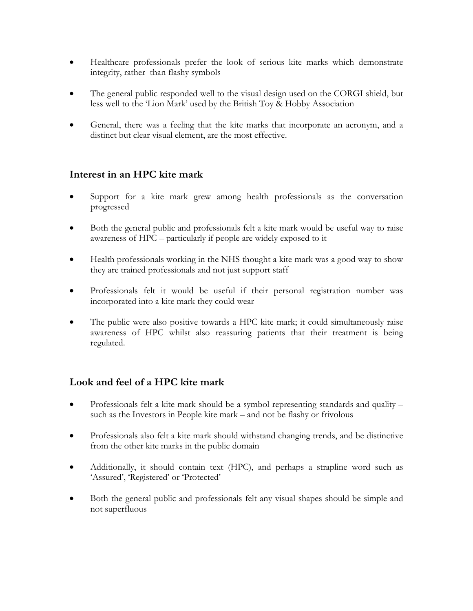- Healthcare professionals prefer the look of serious kite marks which demonstrate integrity, rather than flashy symbols
- The general public responded well to the visual design used on the CORGI shield, but less well to the 'Lion Mark' used by the British Toy & Hobby Association
- General, there was a feeling that the kite marks that incorporate an acronym, and a distinct but clear visual element, are the most effective.

### **Interest in an HPC kite mark**

- Support for a kite mark grew among health professionals as the conversation progressed
- Both the general public and professionals felt a kite mark would be useful way to raise awareness of HPC – particularly if people are widely exposed to it
- Health professionals working in the NHS thought a kite mark was a good way to show they are trained professionals and not just support staff
- Professionals felt it would be useful if their personal registration number was incorporated into a kite mark they could wear
- The public were also positive towards a HPC kite mark; it could simultaneously raise awareness of HPC whilst also reassuring patients that their treatment is being regulated.

### **Look and feel of a HPC kite mark**

- Professionals felt a kite mark should be a symbol representing standards and quality such as the Investors in People kite mark – and not be flashy or frivolous
- Professionals also felt a kite mark should withstand changing trends, and be distinctive from the other kite marks in the public domain
- Additionally, it should contain text (HPC), and perhaps a strapline word such as 'Assured', 'Registered' or 'Protected'
- Both the general public and professionals felt any visual shapes should be simple and not superfluous